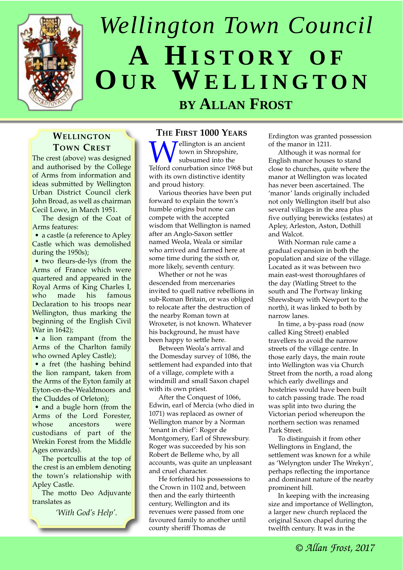

# *Wellington Town Council* **A HISTORY OF OU R WELLINGTON BY ALLAN FROST**

## **WELLINGTON TOWN CREST**

The crest (above) was designed and authorised by the College of Arms from information and ideas submitted by Wellington Urban District Council clerk John Broad, as well as chairman Cecil Lowe, in March 1951.

The design of the Coat of Arms features:

• a castle (a reference to Apley Castle which was demolished during the 1950s);

• two fleurs-de-lys (from the Arms of France which were quartered and appeared in the Royal Arms of King Charles I, who made his famous Declaration to his troops near Wellington, thus marking the beginning of the English Civil War in 1642);

• a lion rampant (from the Arms of the Charlton family who owned Apley Castle);

• a fret (the hashing behind the lion rampant, taken from the Arms of the Eyton family at Eyton-on-the-Wealdmoors and the Cluddes of Orleton);

• and a bugle horn (from the Arms of the Lord Forester, whose ancestors were custodians of part of the Wrekin Forest from the Middle Ages onwards).

The portcullis at the top of the crest is an emblem denoting the town's relationship with Apley Castle.

The motto Deo Adjuvante translates as

*'With God's Help'.*

## **THE FIRST 1000 YEARS**

Wellington is an ancient<br>subsumed into the<br>Telford conurbation since 1968 but town in Shropshire, subsumed into the with its own distinctive identity and proud history.

Various theories have been put forward to explain the town's humble origins but none can compete with the accepted wisdom that Wellington is named after an Anglo-Saxon settler named Weola, Weala or similar who arrived and farmed here at some time during the sixth or, more likely, seventh century.

Whether or not he was descended from mercenaries invited to quell native rebellions in sub-Roman Britain, or was obliged to relocate after the destruction of the nearby Roman town at Wroxeter, is not known. Whatever his background, he must have been happy to settle here.

Between Weola's arrival and the Domesday survey of 1086, the settlement had expanded into that of a village, complete with a windmill and small Saxon chapel with its own priest.

After the Conquest of 1066, Edwin, earl of Mercia (who died in 1071) was replaced as owner of Wellington manor by a Norman 'tenant in chief': Roger de Montgomery, Earl of Shrewsbury. Roger was succeeded by his son Robert de Belleme who, by all accounts, was quite an unpleasant and cruel character.

He forfeited his possessions to the Crown in 1102 and, between then and the early thirteenth century, Wellington and its revenues were passed from one favoured family to another until county sheriff Thomas de

Erdington was granted possession of the manor in 1211.

Although it was normal for English manor houses to stand close to churches, quite where the manor at Wellington was located has never been ascertained. The 'manor' lands originally included not only Wellington itself but also several villages in the area plus five outlying berewicks (estates) at Apley, Arleston, Aston, Dothill and Walcot.

With Norman rule came a gradual expansion in both the population and size of the village. Located as it was between two main east-west thoroughfares of the day (Watling Street to the south and The Portway linking Shrewsbury with Newport to the north), it was linked to both by narrow lanes.

In time, a by-pass road (now called King Street) enabled travellers to avoid the narrow streets of the village centre. In those early days, the main route into Wellington was via Church Street from the north, a road along which early dwellings and hostelries would have been built to catch passing trade. The road was split into two during the Victorian period whereupon the northern section was renamed Park Street.

To distinguish it from other Wellingtons in England, the settlement was known for a while as 'Welyngton under The Wrekyn', perhaps reflecting the importance and dominant nature of the nearby prominent hill.

In keeping with the increasing size and importance of Wellington, a larger new church replaced the original Saxon chapel during the twelfth century. It was in the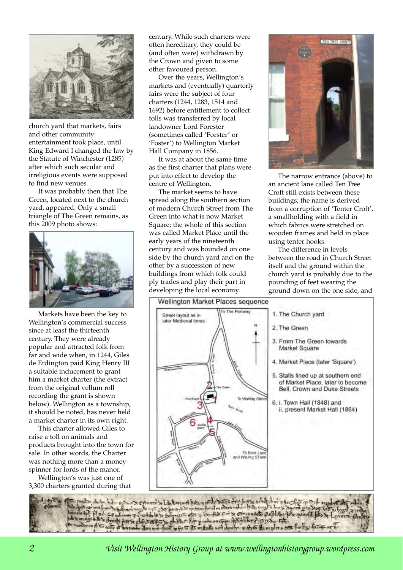

church yard that markets, fairs and other community entertainment took place, until King Edward I changed the law by the Statute of Winchester (1285) after which such secular and irreligious events were supposed to find new venues.

It was probably then that The Green, located next to the church yard, appeared. Only a small triangle of The Green remains, as this 2009 photo shows:



Markets have been the key to Wellington's commercial success since at least the thirteenth century. They were already popular and attracted folk from far and wide when, in 1244, Giles de Erdington paid King Henry III a suitable inducement to grant him a market charter (the extract from the original vellum roll recording the grant is shown below). Wellington as a township, it should be noted, has never held a market charter in its own right.

This charter allowed Giles to raise a toll on animals and products brought into the town for sale. In other words, the Charter was nothing more than a moneyspinner for lords of the manor.

Wellington's was just one of 3,300 charters granted during that century. While such charters were often hereditary, they could be (and often were) withdrawn by the Crown and given to some other favoured person.

Over the years, Wellington's markets and (eventually) quarterly fairs were the subject of four charters (1244, 1283, 1514 and 1692) before entitlement to collect tolls was transferred by local landowner Lord Forester (sometimes called 'Forster' or 'Foster') to Wellington Market Hall Company in 1856.

It was at about the same time as the first charter that plans were put into effect to develop the centre of Wellington.

The market seems to have spread along the southern section of modern Church Street from The Green into what is now Market Square; the whole of this section was called Market Place until the early years of the nineteenth century and was bounded on one side by the church yard and on the other by a succession of new buildings from which folk could ply trades and play their part in developing the local economy.



The narrow entrance (above) to an ancient lane called Ten Tree Croft still exists between these buildings; the name is derived from a corruption of 'Tenter Croft', a smallholding with a field in which fabrics were stretched on wooden frames and held in place using tenter hooks.

The difference in levels between the road in Church Street itself and the ground within the church yard is probably due to the pounding of feet wearing the ground down on the one side, and



*Visit Wellington History Group at www.wellingtonhistorygroup.wordpress.com*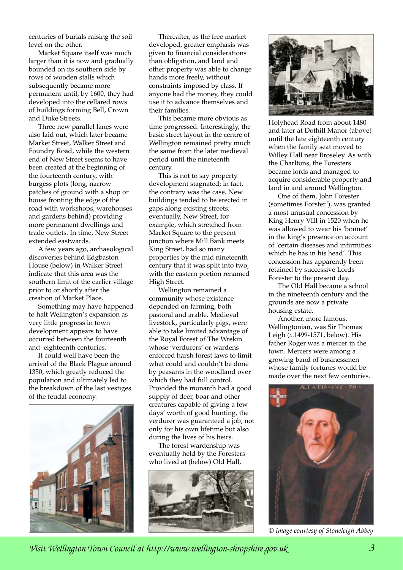centuries of burials raising the soil level on the other.

Market Square itself was much larger than it is now and gradually bounded on its southern side by rows of wooden stalls which subsequently became more permanent until, by 1600, they had developed into the cellared rows of buildings forming Bell, Crown and Duke Streets.

Three new parallel lanes were also laid out, which later became Market Street, Walker Street and Foundry Road, while the western end of New Street seems to have been created at the beginning of the fourteenth century, with burgess plots (long, narrow patches of ground with a shop or house fronting the edge of the road with workshops, warehouses and gardens behind) providing more permanent dwellings and trade outlets. In time, New Street extended eastwards.

A few years ago, archaeological discoveries behind Edgbaston House (below) in Walker Street indicate that this area was the southern limit of the earlier village prior to or shortly after the creation of Market Place.

Something may have happened to halt Wellington's expansion as very little progress in town development appears to have occurred between the fourteenth and eighteenth centuries.

It could well have been the arrival of the Black Plague around 1350, which greatly reduced the population and ultimately led to the breakdown of the last vestiges of the feudal economy.



Thereafter, as the free market developed, greater emphasis was given to financial considerations than obligation, and land and other property was able to change hands more freely, without constraints imposed by class. If anyone had the money, they could use it to advance themselves and their families.

This became more obvious as time progressed. Interestingly, the basic street layout in the centre of Wellington remained pretty much the same from the later medieval period until the nineteenth century.

This is not to say property development stagnated; in fact, the contrary was the case. New buildings tended to be erected in gaps along existing streets; eventually, New Street, for example, which stretched from Market Square to the present junction where Mill Bank meets King Street, had so many properties by the mid nineteenth century that it was split into two, with the eastern portion renamed High Street.

Wellington remained a community whose existence depended on farming, both pastoral and arable. Medieval livestock, particularly pigs, were able to take limited advantage of the Royal Forest of The Wrekin whose 'verdurers' or wardens enforced harsh forest laws to limit what could and couldn't be done by peasants in the woodland over which they had full control. Provided the monarch had a good supply of deer, boar and other creatures capable of giving a few days' worth of good hunting, the verdurer was guaranteed a job, not only for his own lifetime but also during the lives of his heirs.

The forest wardenship was eventually held by the Foresters who lived at (below) Old Hall,





Holyhead Road from about 1480 and later at Dothill Manor (above) until the late eighteenth century when the family seat moved to Willey Hall near Broseley. As with the Charltons, the Foresters became lords and managed to acquire considerable property and land in and around Wellington.

One of them, John Forester (sometimes Forster'), was granted a most unusual concession by King Henry VIII in 1520 when he was allowed to wear his 'bonnet' in the king's presence on account of 'certain diseases and infirmities which he has in his head'. This concession has apparently been retained by successive Lords Forester to the present day.

The Old Hall became a school in the nineteenth century and the grounds are now a private housing estate.

Another, more famous, Wellingtonian, was Sir Thomas Leigh (*c*.1499-1571, below). His father Roger was a mercer in the town. Mercers were among a growing band of businessmen whose family fortunes would be made over the next few centuries.



*© Image courtesy of Stoneleigh Abbey*

*Visit Wellington Town Council at http://www.wellington-shropshire.gov.uk*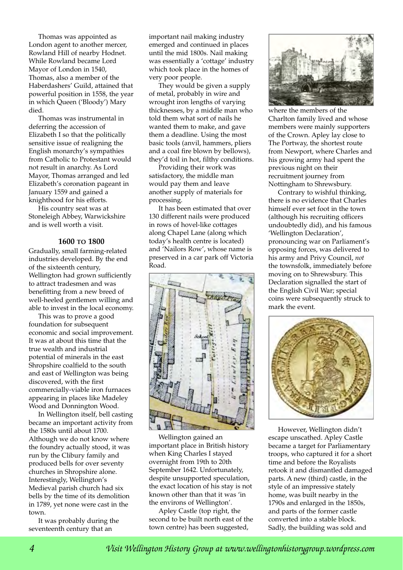Thomas was appointed as London agent to another mercer, Rowland Hill of nearby Hodnet. While Rowland became Lord Mayor of London in 1540, Thomas, also a member of the Haberdashers' Guild, attained that powerful position in 1558, the year in which Queen ('Bloody') Mary died.

Thomas was instrumental in deferring the accession of Elizabeth I so that the politically sensitive issue of realigning the English monarchy's sympathies from Catholic to Protestant would not result in anarchy. As Lord Mayor, Thomas arranged and led Elizabeth's coronation pageant in January 1559 and gained a knighthood for his efforts.

His country seat was at Stoneleigh Abbey, Warwickshire and is well worth a visit.

#### **1600 TO 1800**

Gradually, small farming-related industries developed. By the end of the sixteenth century, Wellington had grown sufficiently to attract tradesmen and was benefitting from a new breed of well-heeled gentlemen willing and able to invest in the local economy.

This was to prove a good foundation for subsequent economic and social improvement. It was at about this time that the true wealth and industrial potential of minerals in the east Shropshire coalfield to the south and east of Wellington was being discovered, with the first commercially-viable iron furnaces appearing in places like Madeley Wood and Donnington Wood.

In Wellington itself, bell casting became an important activity from the 1580s until about 1700. Although we do not know where the foundry actually stood, it was run by the Clibury family and produced bells for over seventy churches in Shropshire alone. Interestingly, Wellington's Medieval parish church had six bells by the time of its demolition in 1789, yet none were cast in the town.

It was probably during the seventeenth century that an

important nail making industry emerged and continued in places until the mid 1800s. Nail making was essentially a 'cottage' industry which took place in the homes of very poor people.

They would be given a supply of metal, probably in wire and wrought iron lengths of varying thicknesses, by a middle man who told them what sort of nails he wanted them to make, and gave them a deadline. Using the most basic tools (anvil, hammers, pliers and a coal fire blown by bellows), they'd toil in hot, filthy conditions.

Providing their work was satisfactory, the middle man would pay them and leave another supply of materials for processing.

It has been estimated that over 130 different nails were produced in rows of hovel-like cottages along Chapel Lane (along which today's health centre is located) and 'Nailors Row', whose name is preserved in a car park off Victoria Road.



Wellington gained an important place in British history when King Charles I stayed overnight from 19th to 20th September 1642. Unfortunately, despite unsupported speculation, the exact location of his stay is not known other than that it was 'in the environs of Wellington'.

Apley Castle (top right, the second to be built north east of the town centre) has been suggested,



where the members of the Charlton family lived and whose members were mainly supporters of the Crown. Apley lay close to The Portway, the shortest route from Newport, where Charles and his growing army had spent the previous night on their recruitment journey from Nottingham to Shrewsbury.

Contrary to wishful thinking, there is no evidence that Charles himself ever set foot in the town (although his recruiting officers undoubtedly did), and his famous 'Wellington Declaration', pronouncing war on Parliament's opposing forces, was delivered to his army and Privy Council, *not* the townsfolk, immediately before moving on to Shrewsbury. This Declaration signalled the start of the English Civil War; special coins were subsequently struck to mark the event.



However, Wellington didn't escape unscathed. Apley Castle became a target for Parliamentary troops, who captured it for a short time and before the Royalists retook it and dismantled damaged parts. A new (third) castle, in the style of an impressive stately home, was built nearby in the 1790s and enlarged in the 1850s, and parts of the former castle converted into a stable block. Sadly, the building was sold and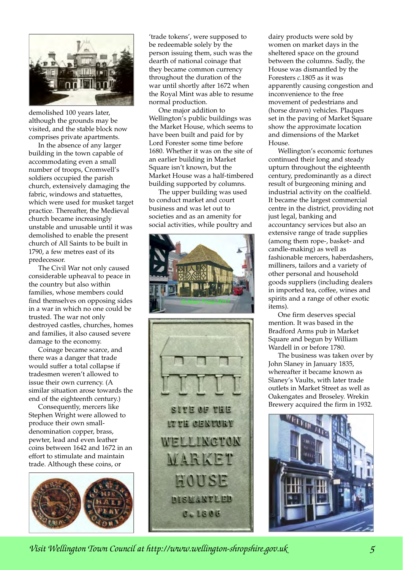

demolished 100 years later, although the grounds may be visited, and the stable block now comprises private apartments.

In the absence of any larger building in the town capable of accommodating even a small number of troops, Cromwell's soldiers occupied the parish church, extensively damaging the fabric, windows and statuettes, which were used for musket target practice. Thereafter, the Medieval church became increasingly unstable and unusable until it was demolished to enable the present church of All Saints to be built in 1790, a few metres east of its predecessor.

The Civil War not only caused considerable upheaval to peace in the country but also within families, whose members could find themselves on opposing sides in a war in which no one could be trusted. The war not only destroyed castles, churches, homes and families, it also caused severe damage to the economy.

Coinage became scarce, and there was a danger that trade would suffer a total collapse if tradesmen weren't allowed to issue their own currency. (A similar situation arose towards the end of the eighteenth century.)

Consequently, mercers like Stephen Wright were allowed to produce their own smalldenomination copper, brass, pewter, lead and even leather coins between 1642 and 1672 in an effort to stimulate and maintain trade. Although these coins, or



'trade tokens', were supposed to be redeemable solely by the person issuing them, such was the dearth of national coinage that they became common currency throughout the duration of the war until shortly after 1672 when the Royal Mint was able to resume normal production.

One major addition to Wellington's public buildings was the Market House, which seems to have been built and paid for by Lord Forester some time before 1680. Whether it was on the site of an earlier building in Market Square isn't known, but the Market House was a half-timbered building supported by columns.

The upper building was used to conduct market and court business and was let out to societies and as an amenity for social activities, while poultry and





dairy products were sold by women on market days in the sheltered space on the ground between the columns. Sadly, the House was dismantled by the Foresters *c.*1805 as it was apparently causing congestion and inconvenience to the free movement of pedestrians and (horse drawn) vehicles. Plaques set in the paving of Market Square show the approximate location and dimensions of the Market House.

Wellington's economic fortunes continued their long and steady upturn throughout the eighteenth century, predominantly as a direct result of burgeoning mining and industrial activity on the coalfield. It became the largest commercial centre in the district, providing not just legal, banking and accountancy services but also an extensive range of trade supplies (among them rope-, basket- and candle-making) as well as fashionable mercers, haberdashers, milliners, tailors and a variety of other personal and household goods suppliers (including dealers in imported tea, coffee, wines and spirits and a range of other exotic items).

One firm deserves special mention. It was based in the Bradford Arms pub in Market Square and begun by William Wardell in or before 1780.

The business was taken over by John Slaney in January 1835, whereafter it became known as Slaney's Vaults, with later trade outlets in Market Street as well as Oakengates and Broseley. Wrekin Brewery acquired the firm in 1932.



*Visit Wellington Town Council at http://www.wellington-shropshire.gov.uk 5*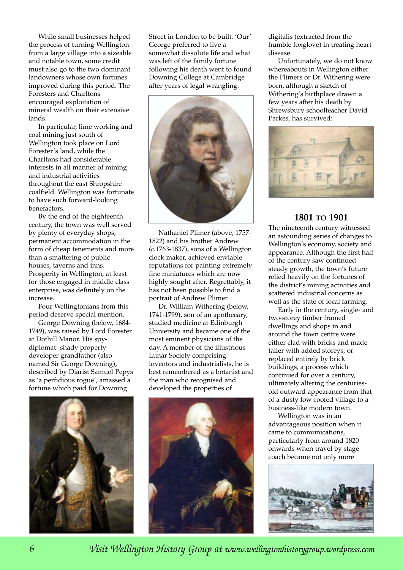While small businesses helped the process of turning Wellington from a large village into a sizeable and notable town, some credit must also go to the two dominant landowners whose own fortunes improved during this period. The Foresters and Charltons encouraged exploitation of mineral wealth on their extensive lands.

In particular, lime working and coal mining just south of Wellington took place on Lord Forester's land, while the Charltons had considerable interests in all manner of mining and industrial activities throughout the east Shropshire coalfield. Wellington was fortunate to have such forward-looking benefactors.

By the end of the eighteenth century, the town was well served by plenty of everyday shops, permanent accommodation in the form of cheap tenements and more than a smattering of public houses, taverns and inns. Prosperity in Wellington, at least for those engaged in middle class enterprise, was definitely on the increase.

Four Wellingtonians from this period deserve special mention.

George Downing (below, 1684- 1749), was raised by Lord Forester at Dothill Manor. His spydiplomat- shady property developer grandfather (also named Sir George Downing), described by Diarist Samuel Pepys as 'a perfidious rogue', amassed a fortune which paid for Downing



Street in London to be built. 'Our' George preferred to live a somewhat dissolute life and what was left of the family fortune following his death went to found Downing College at Cambridge after years of legal wrangling.



Nathaniel Plimer (above, 1757- 1822) and his brother Andrew (*c.*1763-1837), sons of a Wellington clock maker, achieved enviable reputations for painting extremely fine miniatures which are now highly sought after. Regrettably, it has not been possible to find a portrait of Andrew Plimer.

Dr. William Withering (below, 1741-1799), son of an apothecary, studied medicine at Edinburgh University and became one of the most eminent physicians of the day. A member of the illustrious Lunar Society comprising inventors and industrialists, he is best remembered as a botanist and the man who recognised and developed the properties of



digitalis (extracted from the humble foxglove) in treating heart disease.

Unfortunately, we do not know whereabouts in Wellington either the Plimers or Dr. Withering were born, although a sketch of Withering's birthplace drawn a few years after his death by Shrewsbury schoolteacher David Parkes, has survived:



## **1801 TO 1901**

The nineteenth century witnessed an astounding series of changes to Wellington's economy, society and appearance. Although the first half of the century saw continued steady growth, the town's future relied heavily on the fortunes of the district's mining activities and scattered industrial concerns as well as the state of local farming.

Early in the century, single- and two-storey timber framed dwellings and shops in and around the town centre were either clad with bricks and made taller with added storeys, or replaced entirely by brick buildings, a process which continued for over a century, ultimately altering the centuriesold outward appearance from that of a dusty low-roofed village to a business-like modern town.

Wellington was in an advantageous position when it came to communications, particularly from around 1820 onwards when travel by stage coach became not only more



*Visit Wellington History Group at www.wellingtonhistorygroup.wordpress.com*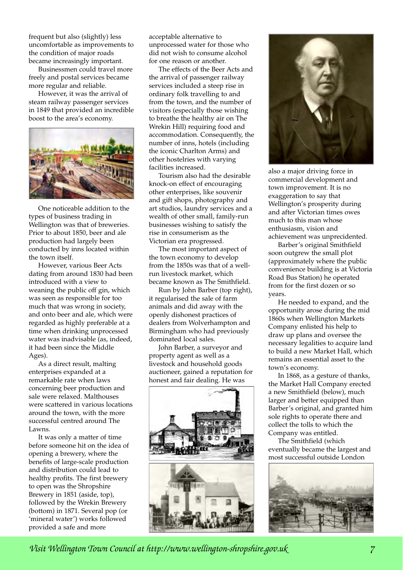frequent but also (slightly) less uncomfortable as improvements to the condition of major roads became increasingly important.

Businessmen could travel more freely and postal services became more regular and reliable.

However, it was the arrival of steam railway passenger services in 1849 that provided an incredible boost to the area's economy.



One noticeable addition to the types of business trading in Wellington was that of breweries. Prior to about 1850, beer and ale production had largely been conducted by inns located within the town itself.

However, various Beer Acts dating from around 1830 had been introduced with a view to weaning the public off gin, which was seen as responsible for too much that was wrong in society, and onto beer and ale, which were regarded as highly preferable at a time when drinking unprocessed water was inadvisable (as, indeed, it had been since the Middle Ages).

As a direct result, malting enterprises expanded at a remarkable rate when laws concerning beer production and sale were relaxed. Malthouses were scattered in various locations around the town, with the more successful centred around The Lawns.

It was only a matter of time before someone hit on the idea of opening a brewery, where the benefits of large-scale production and distribution could lead to healthy profits. The first brewery to open was the Shropshire Brewery in 1851 (aside, top), followed by the Wrekin Brewery (bottom) in 1871. Several pop (or 'mineral water') works followed provided a safe and more

acceptable alternative to unprocessed water for those who did not wish to consume alcohol for one reason or another.

The effects of the Beer Acts and the arrival of passenger railway services included a steep rise in ordinary folk travelling to and from the town, and the number of visitors (especially those wishing to breathe the healthy air on The Wrekin Hill) requiring food and accommodation. Consequently, the number of inns, hotels (including the iconic Charlton Arms) and other hostelries with varying facilities increased.

Tourism also had the desirable knock-on effect of encouraging other enterprises, like souvenir and gift shops, photography and art studios, laundry services and a wealth of other small, family-run businesses wishing to satisfy the rise in consumerism as the Victorian era progressed.

The most important aspect of the town economy to develop from the 1850s was that of a wellrun livestock market, which became known as The Smithfield.

Run by John Barber (top right), it regularised the sale of farm animals and did away with the openly dishonest practices of dealers from Wolverhampton and Birmingham who had previously dominated local sales.

John Barber, a surveyor and property agent as well as a livestock and household goods auctioneer, gained a reputation for honest and fair dealing. He was





also a major driving force in commercial development and town improvement. It is no exaggeration to say that Wellington's prosperity during and after Victorian times owes much to this man whose enthusiasm, vision and achievement was unprecidented.

Barber's original Smithfield soon outgrew the small plot (approximately where the public convenience building is at Victoria Road Bus Station) he operated from for the first dozen or so years.

He needed to expand, and the opportunity arose during the mid 1860s when Wellington Markets Company enlisted his help to draw up plans and oversee the necessary legalities to acquire land to build a new Market Hall, which remains an essential asset to the town's economy.

In 1868, as a gesture of thanks, the Market Hall Company erected a new Smithfield (below), much larger and better equipped than Barber's original, and granted him sole rights to operate there and collect the tolls to which the Company was entitled.

The Smithfield (which eventually became the largest and most successful outside London



*Visit Wellington Town Council at http://www.wellington-shropshire.gov.uk 7*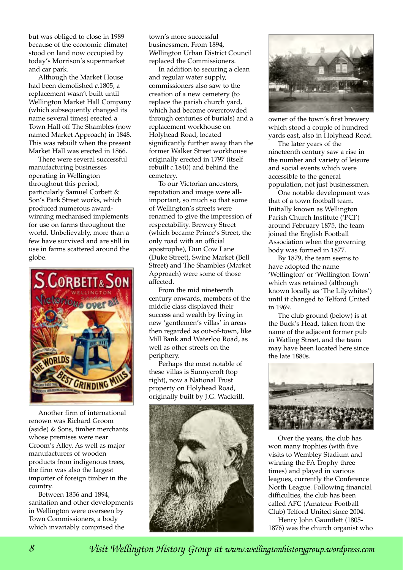but was obliged to close in 1989 because of the economic climate) stood on land now occupied by today's Morrison's supermarket and car park.

Although the Market House had been demolished *c.*1805, a replacement wasn't built until Wellington Market Hall Company (which subsequently changed its name several times) erected a Town Hall off The Shambles (now named Market Approach) in 1848. This was rebuilt when the present Market Hall was erected in 1866.

There were several successful manufacturing businesses operating in Wellington throughout this period, particularly Samuel Corbett & Son's Park Street works, which produced numerous awardwinning mechanised implements for use on farms throughout the world. Unbelievably, more than a few have survived and are still in use in farms scattered around the globe.



Another firm of international renown was Richard Groom (aside) & Sons, timber merchants whose premises were near Groom's Alley. As well as major manufacturers of wooden products from indigenous trees, the firm was also the largest importer of foreign timber in the country.

Between 1856 and 1894, sanitation and other developments in Wellington were overseen by Town Commissioners, a body which invariably comprised the

town's more successful businessmen. From 1894, Wellington Urban District Council replaced the Commissioners.

In addition to securing a clean and regular water supply, commissioners also saw to the creation of a new cemetery (to replace the parish church yard, which had become overcrowded through centuries of burials) and a replacement workhouse on Holyhead Road, located significantly further away than the former Walker Street workhouse originally erected in 1797 (itself rebuilt *c.*1840) and behind the cemetery.

To our Victorian ancestors, reputation and image were allimportant, so much so that some of Wellington's streets were renamed to give the impression of respectability. Brewery Street (which became Prince's Street, the only road with an official apostrophe), Dun Cow Lane (Duke Street), Swine Market (Bell Street) and The Shambles (Market Approach) were some of those affected.

From the mid nineteenth century onwards, members of the middle class displayed their success and wealth by living in new 'gentlemen's villas' in areas then regarded as out-of-town, like Mill Bank and Waterloo Road, as well as other streets on the periphery.

Perhaps the most notable of these villas is Sunnycroft (top right), now a National Trust property on Holyhead Road, originally built by J.G. Wackrill,





owner of the town's first brewery which stood a couple of hundred yards east, also in Holyhead Road.

The later years of the nineteenth century saw a rise in the number and variety of leisure and social events which were accessible to the general population, not just businessmen.

One notable development was that of a town football team. Initially known as Wellington Parish Church Institute ('PCI') around February 1875, the team joined the English Football Association when the governing body was formed in 1877.

By 1879, the team seems to have adopted the name 'Wellington' or 'Wellington Town' which was retained (although known locally as 'The Lilywhites') until it changed to Telford United in 1969.

The club ground (below) is at the Buck's Head, taken from the name of the adjacent former pub in Watling Street, and the team may have been located here since the late 1880s.



Over the years, the club has won many trophies (with five visits to Wembley Stadium and winning the FA Trophy three times) and played in various leagues, currently the Conference North League. Following financial difficulties, the club has been called AFC (Amateur Football Club) Telford United since 2004.

Henry John Gauntlett (1805- 1876) was the church organist who

*Visit Wellington History Group at www.wellingtonhistorygroup.wordpress.com*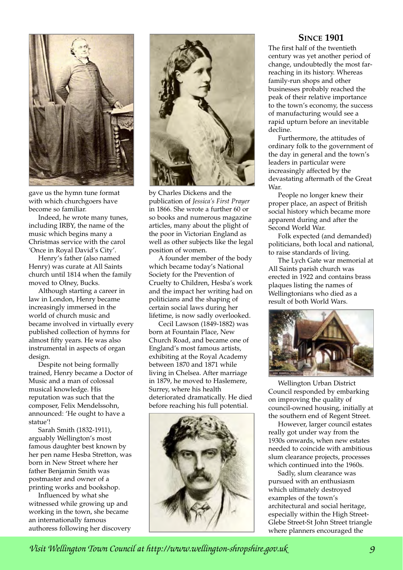

gave us the hymn tune format with which churchgoers have become so familiar.

Indeed, he wrote many tunes, including IRBY, the name of the music which begins many a Christmas service with the carol 'Once in Royal David's City'.

Henry's father (also named Henry) was curate at All Saints church until 1814 when the family moved to Olney, Bucks.

Although starting a career in law in London, Henry became increasingly immersed in the world of church music and became involved in virtually every published collection of hymns for almost fifty years. He was also instrumental in aspects of organ design.

Despite not being formally trained, Henry became a Doctor of Music and a man of colossal musical knowledge. His reputation was such that the composer, Felix Mendelssohn, announced: 'He ought to have a statue'!

Sarah Smith (1832-1911), arguably Wellington's most famous daughter best known by her pen name Hesba Stretton, was born in New Street where her father Benjamin Smith was postmaster and owner of a printing works and bookshop.

Influenced by what she witnessed while growing up and working in the town, she became an internationally famous authoress following her discovery



by Charles Dickens and the publication of *Jessica's First Prayer* in 1866. She wrote a further 60 or so books and numerous magazine articles, many about the plight of the poor in Victorian England as well as other subjects like the legal position of women.

A founder member of the body which became today's National Society for the Prevention of Cruelty to Children, Hesba's work and the impact her writing had on politicians and the shaping of certain social laws during her lifetime, is now sadly overlooked.

Cecil Lawson (1849-1882) was born at Fountain Place, New Church Road, and became one of England's most famous artists, exhibiting at the Royal Academy between 1870 and 1871 while living in Chelsea. After marriage in 1879, he moved to Haslemere, Surrey, where his health deteriorated dramatically. He died before reaching his full potential.



### **SINCE 1901**

The first half of the twentieth century was yet another period of change, undoubtedly the most farreaching in its history. Whereas family-run shops and other businesses probably reached the peak of their relative importance to the town's economy, the success of manufacturing would see a rapid upturn before an inevitable decline.

Furthermore, the attitudes of ordinary folk to the government of the day in general and the town's leaders in particular were increasingly affected by the devastating aftermath of the Great War.

People no longer knew their proper place, an aspect of British social history which became more apparent during and after the Second World War.

Folk expected (and demanded) politicians, both local and national, to raise standards of living.

The Lych Gate war memorial at All Saints parish church was erected in 1922 and contains brass plaques listing the names of Wellingtonians who died as a result of both World Wars.



Wellington Urban District Council responded by embarking on improving the quality of council-owned housing, initially at the southern end of Regent Street.

However, larger council estates really got under way from the 1930s onwards, when new estates needed to coincide with ambitious slum clearance projects, processes which continued into the 1960s.

Sadly, slum clearance was pursued with an enthusiasm which ultimately destroyed examples of the town's architectural and social heritage, especially within the High Street-Glebe Street-St John Street triangle where planners encouraged the

*Visit Wellington Town Council at http://www.wellington-shropshire.gov.uk 9*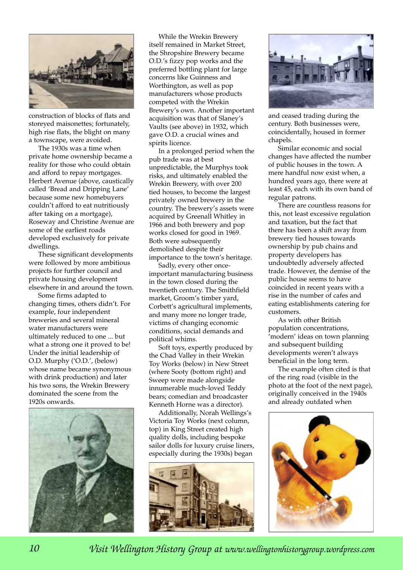

construction of blocks of flats and storeyed maisonettes; fortunately, high rise flats, the blight on many a townscape, were avoided.

The 1930s was a time when private home ownership became a reality for those who could obtain and afford to repay mortgages. Herbert Avenue (above, caustically called 'Bread and Dripping Lane' because some new homebuyers couldn't afford to eat nutritiously after taking on a mortgage), Roseway and Christine Avenue are some of the earliest roads developed exclusively for private dwellings.

These significant developments were followed by more ambitious projects for further council and private housing development elsewhere in and around the town.

Some firms adapted to changing times, others didn't. For example, four independent breweries and several mineral water manufacturers were ultimately reduced to one ... but what a strong one it proved to be! Under the initial leadership of O.D. Murphy ('O.D.', (below) whose name became synonymous with drink production) and later his two sons, the Wrekin Brewery dominated the scene from the 1920s onwards.



While the Wrekin Brewery itself remained in Market Street, the Shropshire Brewery became O.D.'s fizzy pop works and the preferred bottling plant for large concerns like Guinness and Worthington, as well as pop manufacturers whose products competed with the Wrekin Brewery's own. Another important acquisition was that of Slaney's Vaults (see above) in 1932, which gave O.D. a crucial wines and spirits licence.

In a prolonged period when the pub trade was at best unpredictable, the Murphys took risks, and ultimately enabled the Wrekin Brewery, with over 200 tied houses, to become the largest privately owned brewery in the country. The brewery's assets were acquired by Greenall Whitley in 1966 and both brewery and pop works closed for good in 1969. Both were subsequently demolished despite their importance to the town's heritage.

Sadly, every other onceimportant manufacturing business in the town closed during the twentieth century. The Smithfield market, Groom's timber yard, Corbett's agricultural implements, and many more no longer trade, victims of changing economic conditions, social demands and political whims.

Soft toys, expertly produced by the Chad Valley in their Wrekin Toy Works (below) in New Street (where Sooty (bottom right) and Sweep were made alongside innumerable much-loved Teddy bears; comedian and broadcaster Kenneth Horne was a director).

Additionally, Norah Wellings's Victoria Toy Works (next column, top) in King Street created high quality dolls, including bespoke sailor dolls for luxury cruise liners, especially during the 1930s) began





and ceased trading during the century. Both businesses were, coincidentally, housed in former chapels.

Similar economic and social changes have affected the number of public houses in the town. A mere handful now exist when, a hundred years ago, there were at least 45, each with its own band of regular patrons.

There are countless reasons for this, not least excessive regulation and taxation, but the fact that there has been a shift away from brewery tied houses towards ownership by pub chains and property developers has undoubtedly adversely affected trade. However, the demise of the public house seems to have coincided in recent years with a rise in the number of cafes and eating establishments catering for customers.

As with other British population concentrations, 'modern' ideas on town planning and subsequent building developments weren't always beneficial in the long term.

The example often cited is that of the ring road (visible in the photo at the foot of the next page), originally conceived in the 1940s and already outdated when



*Visit Wellington History Group at www.wellingtonhistorygroup.wordpress.com*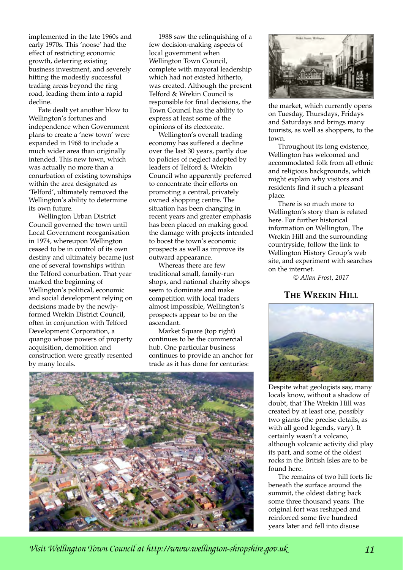implemented in the late 1960s and early 1970s. This 'noose' had the effect of restricting economic growth, deterring existing business investment, and severely hitting the modestly successful trading areas beyond the ring road, leading them into a rapid decline.

Fate dealt yet another blow to Wellington's fortunes and independence when Government plans to create a 'new town' were expanded in 1968 to include a much wider area than originally intended. This new town, which was actually no more than a conurbation of existing townships within the area designated as 'Telford', ultimately removed the Wellington's ability to determine its own future.

Wellington Urban District Council governed the town until Local Government reorganisation in 1974, whereupon Wellington ceased to be in control of its own destiny and ultimately became just one of several townships within the Telford conurbation. That year marked the beginning of Wellington's political, economic and social development relying on decisions made by the newlyformed Wrekin District Council, often in conjunction with Telford Development Corporation, a quango whose powers of property acquisition, demolition and construction were greatly resented by many locals.

1988 saw the relinquishing of a few decision-making aspects of local government when Wellington Town Council, complete with mayoral leadership which had not existed hitherto, was created. Although the present Telford & Wrekin Council is responsible for final decisions, the Town Council has the ability to express at least some of the opinions of its electorate.

Wellington's overall trading economy has suffered a decline over the last 30 years, partly due to policies of neglect adopted by leaders of Telford & Wrekin Council who apparently preferred to concentrate their efforts on promoting a central, privately owned shopping centre. The situation has been changing in recent years and greater emphasis has been placed on making good the damage with projects intended to boost the town's economic prospects as well as improve its outward appearance.

Whereas there are few traditional small, family-run shops, and national charity shops seem to dominate and make competition with local traders almost impossible, Wellington's prospects appear to be on the ascendant.

Market Square (top right) continues to be the commercial hub. One particular business continues to provide an anchor for trade as it has done for centuries:





the market, which currently opens on Tuesday, Thursdays, Fridays and Saturdays and brings many tourists, as well as shoppers, to the town.

Throughout its long existence, Wellington has welcomed and accommodated folk from all ethnic and religious backgrounds, which might explain why visitors and residents find it such a pleasant place.

There is so much more to Wellington's story than is related here. For further historical information on Wellington, The Wrekin Hill and the surrounding countryside, follow the link to Wellington History Group's web site, and experiment with searches on the internet.

*© Allan Frost, 2017*

## **THE WREKIN HILL**



Despite what geologists say, many locals know, without a shadow of doubt, that The Wrekin Hill was created by at least one, possibly two giants (the precise details, as with all good legends, vary). It certainly wasn't a volcano, although volcanic activity did play its part, and some of the oldest rocks in the British Isles are to be found here.

The remains of two hill forts lie beneath the surface around the summit, the oldest dating back some three thousand years. The original fort was reshaped and reinforced some five hundred years later and fell into disuse

*Visit Wellington Town Council at http://www.wellington-shropshire.gov.uk 11*